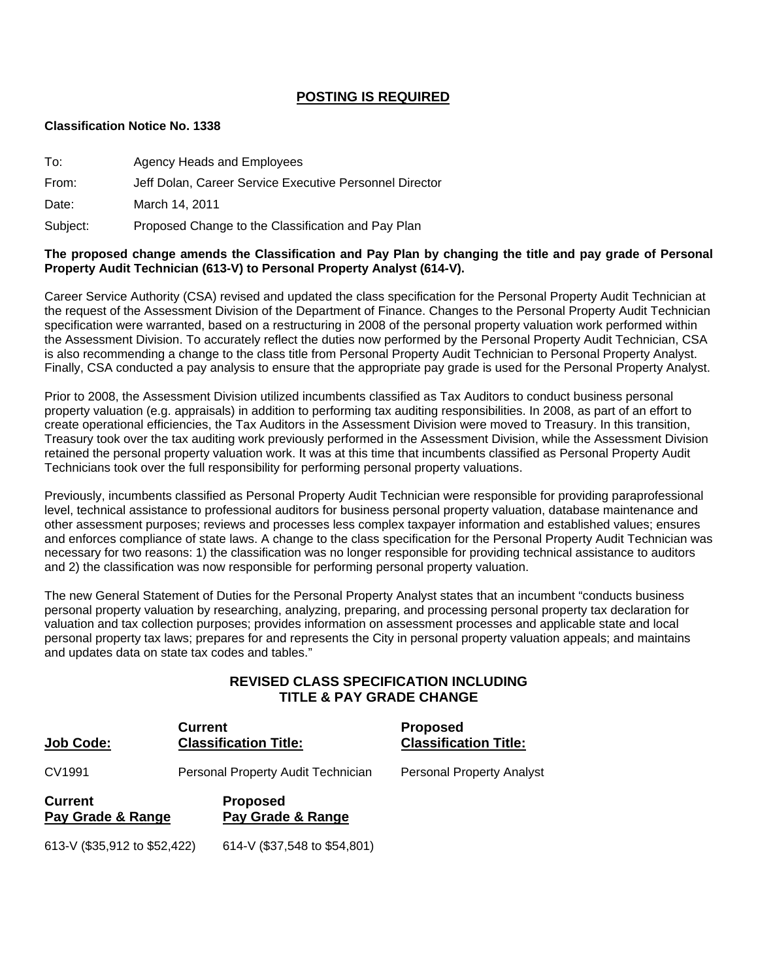## **POSTING IS REQUIRED**

#### **Classification Notice No. 1338**

| To:      | Agency Heads and Employees                              |
|----------|---------------------------------------------------------|
| From:    | Jeff Dolan, Career Service Executive Personnel Director |
| Date:    | March 14, 2011                                          |
| Subject: | Proposed Change to the Classification and Pay Plan      |

#### **The proposed change amends the Classification and Pay Plan by changing the title and pay grade of Personal Property Audit Technician (613-V) to Personal Property Analyst (614-V).**

Career Service Authority (CSA) revised and updated the class specification for the Personal Property Audit Technician at the request of the Assessment Division of the Department of Finance. Changes to the Personal Property Audit Technician specification were warranted, based on a restructuring in 2008 of the personal property valuation work performed within the Assessment Division. To accurately reflect the duties now performed by the Personal Property Audit Technician, CSA is also recommending a change to the class title from Personal Property Audit Technician to Personal Property Analyst. Finally, CSA conducted a pay analysis to ensure that the appropriate pay grade is used for the Personal Property Analyst.

Prior to 2008, the Assessment Division utilized incumbents classified as Tax Auditors to conduct business personal property valuation (e.g. appraisals) in addition to performing tax auditing responsibilities. In 2008, as part of an effort to create operational efficiencies, the Tax Auditors in the Assessment Division were moved to Treasury. In this transition, Treasury took over the tax auditing work previously performed in the Assessment Division, while the Assessment Division retained the personal property valuation work. It was at this time that incumbents classified as Personal Property Audit Technicians took over the full responsibility for performing personal property valuations.

Previously, incumbents classified as Personal Property Audit Technician were responsible for providing paraprofessional level, technical assistance to professional auditors for business personal property valuation, database maintenance and other assessment purposes; reviews and processes less complex taxpayer information and established values; ensures and enforces compliance of state laws. A change to the class specification for the Personal Property Audit Technician was necessary for two reasons: 1) the classification was no longer responsible for providing technical assistance to auditors and 2) the classification was now responsible for performing personal property valuation.

The new General Statement of Duties for the Personal Property Analyst states that an incumbent "conducts business personal property valuation by researching, analyzing, preparing, and processing personal property tax declaration for valuation and tax collection purposes; provides information on assessment processes and applicable state and local personal property tax laws; prepares for and represents the City in personal property valuation appeals; and maintains and updates data on state tax codes and tables."

## **REVISED CLASS SPECIFICATION INCLUDING TITLE & PAY GRADE CHANGE**

| Job Code:                           | <b>Current</b><br><b>Classification Title:</b> | <b>Proposed</b><br><b>Classification Title:</b> |
|-------------------------------------|------------------------------------------------|-------------------------------------------------|
| CV1991                              | Personal Property Audit Technician             | <b>Personal Property Analyst</b>                |
| <b>Current</b><br>Pay Grade & Range | <b>Proposed</b><br>Pay Grade & Range           |                                                 |

613-V (\$35,912 to \$52,422) 614-V (\$37,548 to \$54,801)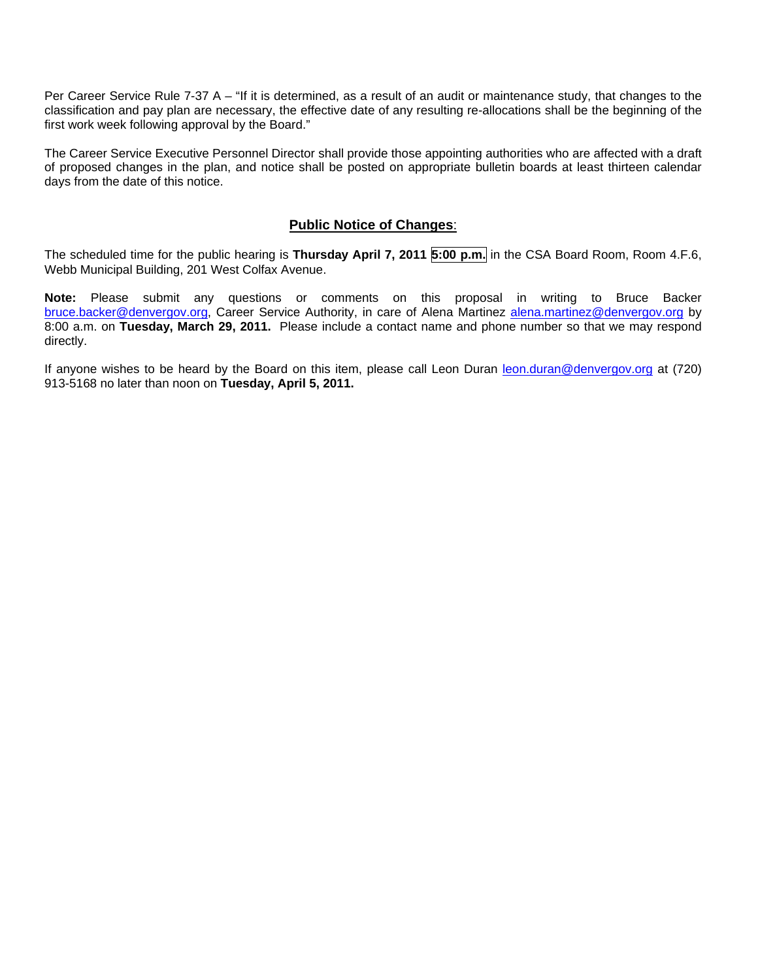Per Career Service Rule 7-37 A – "If it is determined, as a result of an audit or maintenance study, that changes to the classification and pay plan are necessary, the effective date of any resulting re-allocations shall be the beginning of the first work week following approval by the Board."

The Career Service Executive Personnel Director shall provide those appointing authorities who are affected with a draft of proposed changes in the plan, and notice shall be posted on appropriate bulletin boards at least thirteen calendar days from the date of this notice.

#### **Public Notice of Changes**:

The scheduled time for the public hearing is **Thursday April 7, 2011 5:00 p.m.** in the CSA Board Room, Room 4.F.6, Webb Municipal Building, 201 West Colfax Avenue.

**Note:** Please submit any questions or comments on this proposal in writing to Bruce Backer [bruce.backer@denvergov.org,](mailto:bruce.backer@denvergov.org) Career Service Authority, in care of Alena Martinez [alena.martinez@denvergov.org](mailto:alena.martinez@denvergov.org) by 8:00 a.m. on **Tuesday, March 29, 2011.** Please include a contact name and phone number so that we may respond directly.

If anyone wishes to be heard by the Board on this item, please call Leon Duran [leon.duran@denvergov.org](mailto:leon.duran@denvergov.org) at (720) 913-5168 no later than noon on **Tuesday, April 5, 2011.**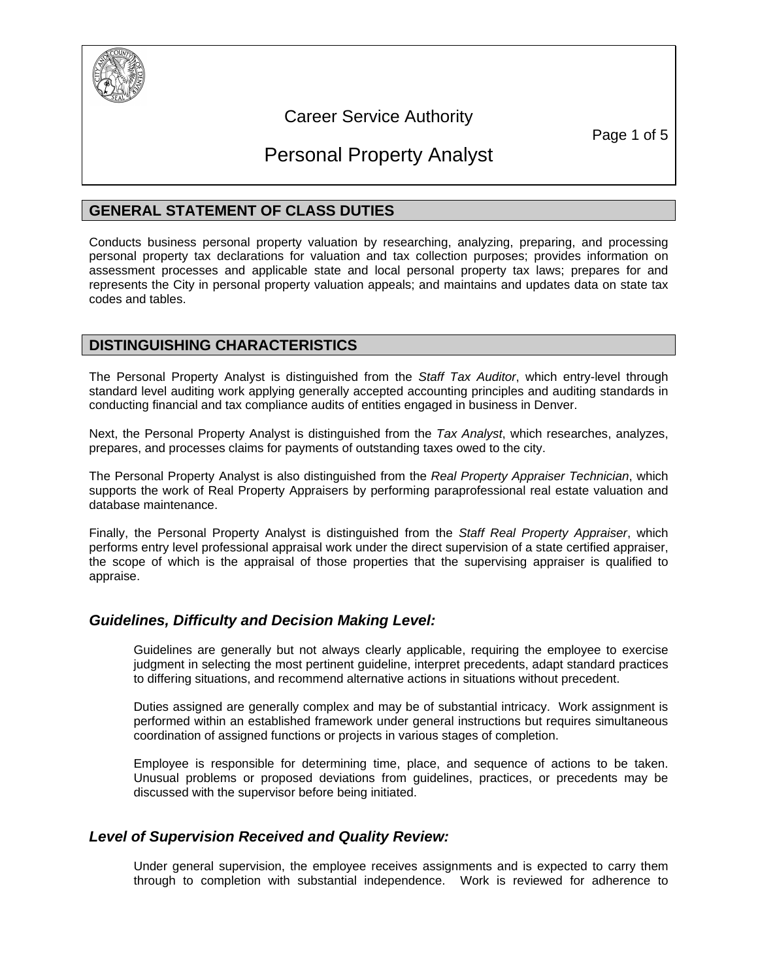

## Career Service Authority

Page 1 of 5

# Personal Property Analyst

## **GENERAL STATEMENT OF CLASS DUTIES**

Conducts business personal property valuation by researching, analyzing, preparing, and processing personal property tax declarations for valuation and tax collection purposes; provides information on assessment processes and applicable state and local personal property tax laws; prepares for and represents the City in personal property valuation appeals; and maintains and updates data on state tax codes and tables.

## **DISTINGUISHING CHARACTERISTICS**

The Personal Property Analyst is distinguished from the *Staff Tax Auditor*, which entry-level through standard level auditing work applying generally accepted accounting principles and auditing standards in conducting financial and tax compliance audits of entities engaged in business in Denver.

Next, the Personal Property Analyst is distinguished from the *Tax Analyst*, which researches, analyzes, prepares, and processes claims for payments of outstanding taxes owed to the city.

The Personal Property Analyst is also distinguished from the *Real Property Appraiser Technician*, which supports the work of Real Property Appraisers by performing paraprofessional real estate valuation and database maintenance.

Finally, the Personal Property Analyst is distinguished from the *Staff Real Property Appraiser*, which performs entry level professional appraisal work under the direct supervision of a state certified appraiser, the scope of which is the appraisal of those properties that the supervising appraiser is qualified to appraise.

## *Guidelines, Difficulty and Decision Making Level:*

Guidelines are generally but not always clearly applicable, requiring the employee to exercise judgment in selecting the most pertinent guideline, interpret precedents, adapt standard practices to differing situations, and recommend alternative actions in situations without precedent.

Duties assigned are generally complex and may be of substantial intricacy. Work assignment is performed within an established framework under general instructions but requires simultaneous coordination of assigned functions or projects in various stages of completion.

Employee is responsible for determining time, place, and sequence of actions to be taken. Unusual problems or proposed deviations from guidelines, practices, or precedents may be discussed with the supervisor before being initiated.

## *Level of Supervision Received and Quality Review:*

Under general supervision, the employee receives assignments and is expected to carry them through to completion with substantial independence. Work is reviewed for adherence to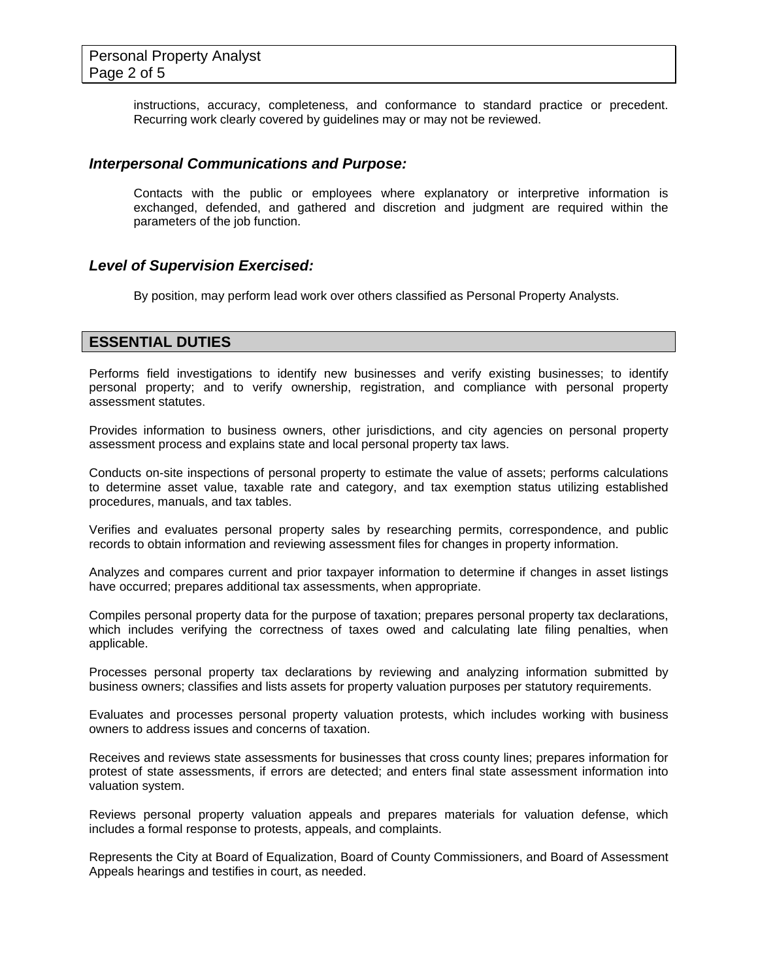instructions, accuracy, completeness, and conformance to standard practice or precedent. Recurring work clearly covered by guidelines may or may not be reviewed.

#### *Interpersonal Communications and Purpose:*

Contacts with the public or employees where explanatory or interpretive information is exchanged, defended, and gathered and discretion and judgment are required within the parameters of the job function.

#### *Level of Supervision Exercised:*

By position, may perform lead work over others classified as Personal Property Analysts.

## **ESSENTIAL DUTIES**

Performs field investigations to identify new businesses and verify existing businesses; to identify personal property; and to verify ownership, registration, and compliance with personal property assessment statutes.

Provides information to business owners, other jurisdictions, and city agencies on personal property assessment process and explains state and local personal property tax laws.

Conducts on-site inspections of personal property to estimate the value of assets; performs calculations to determine asset value, taxable rate and category, and tax exemption status utilizing established procedures, manuals, and tax tables.

Verifies and evaluates personal property sales by researching permits, correspondence, and public records to obtain information and reviewing assessment files for changes in property information.

Analyzes and compares current and prior taxpayer information to determine if changes in asset listings have occurred; prepares additional tax assessments, when appropriate.

Compiles personal property data for the purpose of taxation; prepares personal property tax declarations, which includes verifying the correctness of taxes owed and calculating late filing penalties, when applicable.

Processes personal property tax declarations by reviewing and analyzing information submitted by business owners; classifies and lists assets for property valuation purposes per statutory requirements.

Evaluates and processes personal property valuation protests, which includes working with business owners to address issues and concerns of taxation.

Receives and reviews state assessments for businesses that cross county lines; prepares information for protest of state assessments, if errors are detected; and enters final state assessment information into valuation system.

Reviews personal property valuation appeals and prepares materials for valuation defense, which includes a formal response to protests, appeals, and complaints.

Represents the City at Board of Equalization, Board of County Commissioners, and Board of Assessment Appeals hearings and testifies in court, as needed.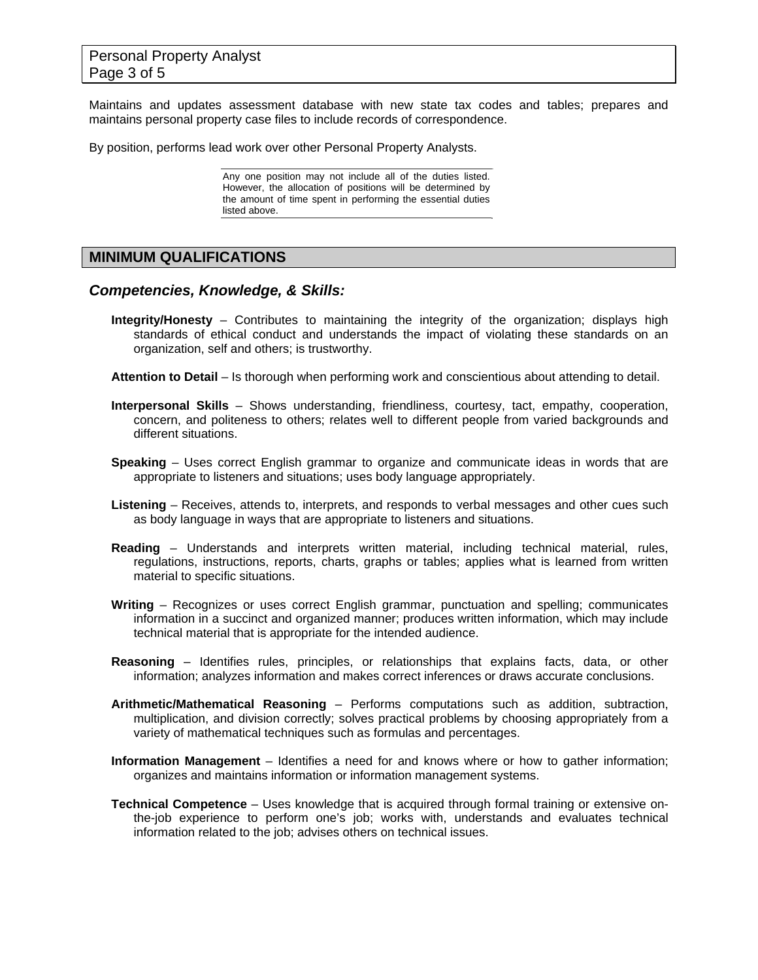Maintains and updates assessment database with new state tax codes and tables; prepares and maintains personal property case files to include records of correspondence.

By position, performs lead work over other Personal Property Analysts.

Any one position may not include all of the duties listed. However, the allocation of positions will be determined by the amount of time spent in performing the essential duties listed above.

## **MINIMUM QUALIFICATIONS**

#### *Competencies, Knowledge, & Skills:*

- **Integrity/Honesty** Contributes to maintaining the integrity of the organization; displays high standards of ethical conduct and understands the impact of violating these standards on an organization, self and others; is trustworthy.
- **Attention to Detail** Is thorough when performing work and conscientious about attending to detail.
- **Interpersonal Skills** Shows understanding, friendliness, courtesy, tact, empathy, cooperation, concern, and politeness to others; relates well to different people from varied backgrounds and different situations.
- **Speaking** Uses correct English grammar to organize and communicate ideas in words that are appropriate to listeners and situations; uses body language appropriately.
- **Listening** Receives, attends to, interprets, and responds to verbal messages and other cues such as body language in ways that are appropriate to listeners and situations.
- **Reading** Understands and interprets written material, including technical material, rules, regulations, instructions, reports, charts, graphs or tables; applies what is learned from written material to specific situations.
- **Writing** Recognizes or uses correct English grammar, punctuation and spelling; communicates information in a succinct and organized manner; produces written information, which may include technical material that is appropriate for the intended audience.
- **Reasoning** Identifies rules, principles, or relationships that explains facts, data, or other information; analyzes information and makes correct inferences or draws accurate conclusions.
- **Arithmetic/Mathematical Reasoning** Performs computations such as addition, subtraction, multiplication, and division correctly; solves practical problems by choosing appropriately from a variety of mathematical techniques such as formulas and percentages.
- **Information Management** Identifies a need for and knows where or how to gather information; organizes and maintains information or information management systems.
- **Technical Competence** Uses knowledge that is acquired through formal training or extensive onthe-job experience to perform one's job; works with, understands and evaluates technical information related to the job; advises others on technical issues.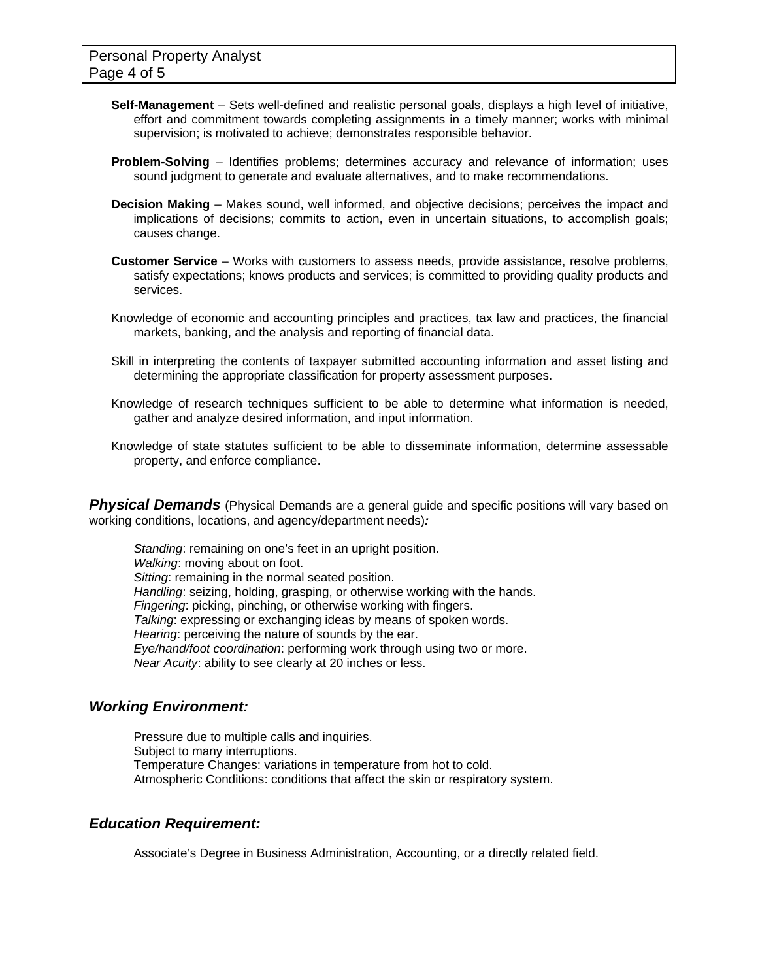- **Self-Management** Sets well-defined and realistic personal goals, displays a high level of initiative, effort and commitment towards completing assignments in a timely manner; works with minimal supervision; is motivated to achieve; demonstrates responsible behavior.
- **Problem-Solving** Identifies problems; determines accuracy and relevance of information; uses sound judgment to generate and evaluate alternatives, and to make recommendations.
- **Decision Making** Makes sound, well informed, and objective decisions; perceives the impact and implications of decisions; commits to action, even in uncertain situations, to accomplish goals; causes change.
- **Customer Service**  Works with customers to assess needs, provide assistance, resolve problems, satisfy expectations; knows products and services; is committed to providing quality products and services.
- Knowledge of economic and accounting principles and practices, tax law and practices, the financial markets, banking, and the analysis and reporting of financial data.
- Skill in interpreting the contents of taxpayer submitted accounting information and asset listing and determining the appropriate classification for property assessment purposes.
- Knowledge of research techniques sufficient to be able to determine what information is needed, gather and analyze desired information, and input information.
- Knowledge of state statutes sufficient to be able to disseminate information, determine assessable property, and enforce compliance.

**Physical Demands** (Physical Demands are a general guide and specific positions will vary based on working conditions, locations, and agency/department needs)*:* 

*Standing*: remaining on one's feet in an upright position. *Walking*: moving about on foot. *Sitting*: remaining in the normal seated position. *Handling*: seizing, holding, grasping, or otherwise working with the hands. *Fingering*: picking, pinching, or otherwise working with fingers. *Talking*: expressing or exchanging ideas by means of spoken words. *Hearing*: perceiving the nature of sounds by the ear. *Eye/hand/foot coordination*: performing work through using two or more. *Near Acuity*: ability to see clearly at 20 inches or less.

## *Working Environment:*

Pressure due to multiple calls and inquiries. Subject to many interruptions. Temperature Changes: variations in temperature from hot to cold. Atmospheric Conditions: conditions that affect the skin or respiratory system.

## *Education Requirement:*

Associate's Degree in Business Administration, Accounting, or a directly related field.